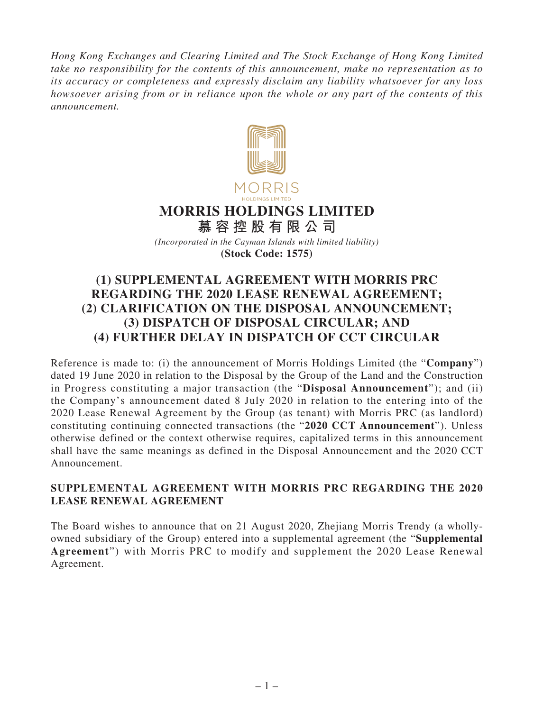*Hong Kong Exchanges and Clearing Limited and The Stock Exchange of Hong Kong Limited take no responsibility for the contents of this announcement, make no representation as to its accuracy or completeness and expressly disclaim any liability whatsoever for any loss howsoever arising from or in reliance upon the whole or any part of the contents of this announcement.*



# **MORRIS HOLDINGS LIMITED**

**慕容控股有限公司** *(Incorporated in the Cayman Islands with limited liability)* **(Stock Code: 1575)**

# **(1) SUPPLEMENTAL AGREEMENT WITH MORRIS PRC REGARDING THE 2020 LEASE RENEWAL AGREEMENT; (2) CLARIFICATION ON THE DISPOSAL ANNOUNCEMENT; (3) DISPATCH OF DISPOSAL CIRCULAR; AND (4) FURTHER DELAY IN DISPATCH OF CCT CIRCULAR**

Reference is made to: (i) the announcement of Morris Holdings Limited (the "**Company**") dated 19 June 2020 in relation to the Disposal by the Group of the Land and the Construction in Progress constituting a major transaction (the "**Disposal Announcement**"); and (ii) the Company's announcement dated 8 July 2020 in relation to the entering into of the 2020 Lease Renewal Agreement by the Group (as tenant) with Morris PRC (as landlord) constituting continuing connected transactions (the "**2020 CCT Announcement**"). Unless otherwise defined or the context otherwise requires, capitalized terms in this announcement shall have the same meanings as defined in the Disposal Announcement and the 2020 CCT Announcement.

#### **SUPPLEMENTAL AGREEMENT WITH MORRIS PRC REGARDING THE 2020 LEASE RENEWAL AGREEMENT**

The Board wishes to announce that on 21 August 2020, Zhejiang Morris Trendy (a whollyowned subsidiary of the Group) entered into a supplemental agreement (the "**Supplemental Agreement**") with Morris PRC to modify and supplement the 2020 Lease Renewal Agreement.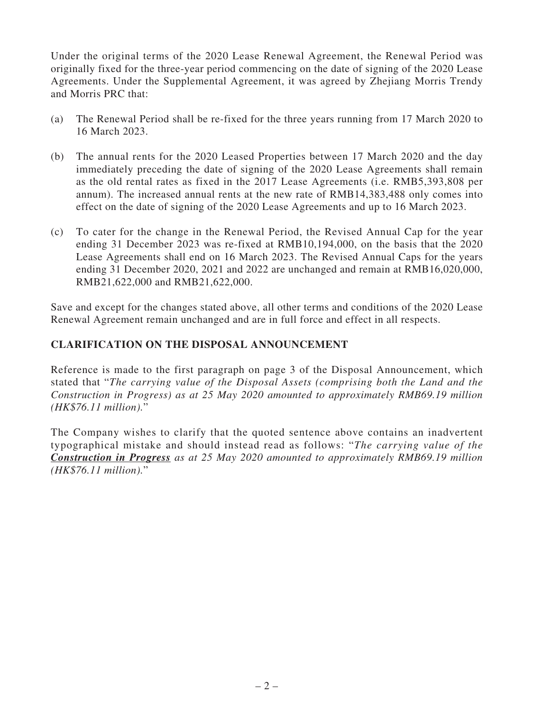Under the original terms of the 2020 Lease Renewal Agreement, the Renewal Period was originally fixed for the three-year period commencing on the date of signing of the 2020 Lease Agreements. Under the Supplemental Agreement, it was agreed by Zhejiang Morris Trendy and Morris PRC that:

- (a) The Renewal Period shall be re-fixed for the three years running from 17 March 2020 to 16 March 2023.
- (b) The annual rents for the 2020 Leased Properties between 17 March 2020 and the day immediately preceding the date of signing of the 2020 Lease Agreements shall remain as the old rental rates as fixed in the 2017 Lease Agreements (i.e. RMB5,393,808 per annum). The increased annual rents at the new rate of RMB14,383,488 only comes into effect on the date of signing of the 2020 Lease Agreements and up to 16 March 2023.
- (c) To cater for the change in the Renewal Period, the Revised Annual Cap for the year ending 31 December 2023 was re-fixed at RMB10,194,000, on the basis that the 2020 Lease Agreements shall end on 16 March 2023. The Revised Annual Caps for the years ending 31 December 2020, 2021 and 2022 are unchanged and remain at RMB16,020,000, RMB21,622,000 and RMB21,622,000.

Save and except for the changes stated above, all other terms and conditions of the 2020 Lease Renewal Agreement remain unchanged and are in full force and effect in all respects.

### **CLARIFICATION ON THE DISPOSAL ANNOUNCEMENT**

Reference is made to the first paragraph on page 3 of the Disposal Announcement, which stated that "*The carrying value of the Disposal Assets (comprising both the Land and the Construction in Progress) as at 25 May 2020 amounted to approximately RMB69.19 million (HK\$76.11 million).*"

The Company wishes to clarify that the quoted sentence above contains an inadvertent typographical mistake and should instead read as follows: "*The carrying value of the Construction in Progress as at 25 May 2020 amounted to approximately RMB69.19 million (HK\$76.11 million).*"